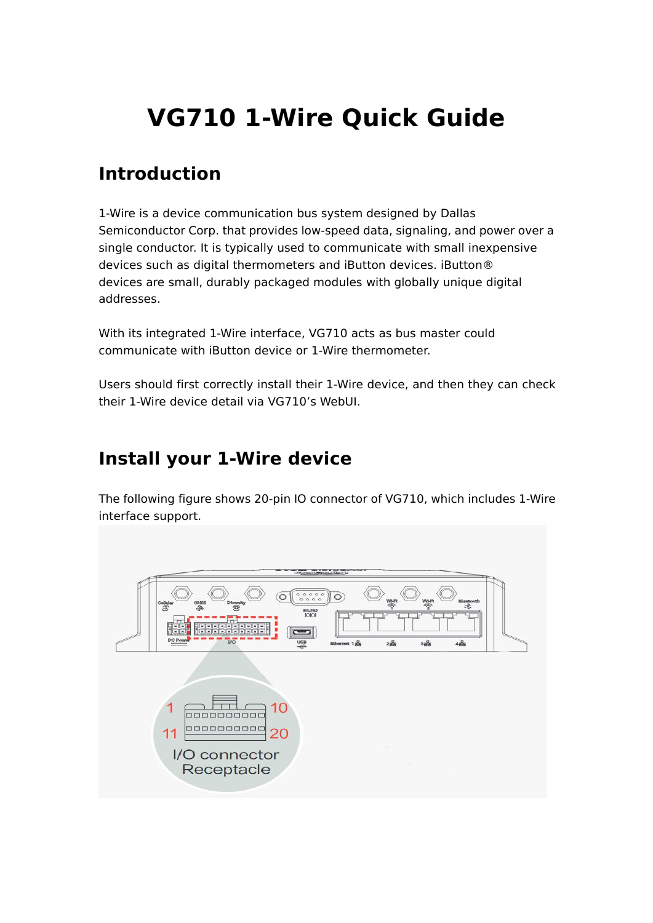# **VG710 1-Wire Quick Guide**

## **Introduction**

1-Wire is a device communication bus system designed by Dallas Semiconductor Corp. that provides low-speed data, signaling, and power over a single conductor. It is typically used to communicate with small inexpensive devices such as digital thermometers and iButton devices. iButton® devices are small, durably packaged modules with globally unique digital addresses.

With its integrated 1-Wire interface, VG710 acts as bus master could communicate with iButton device or 1-Wire thermometer.

Users should first correctly install their 1-Wire device, and then they can check their 1-Wire device detail via VG710's WebUI.

### **Install your 1-Wire device**

The following figure shows 20-pin IO connector of VG710, which includes 1-Wire interface support.

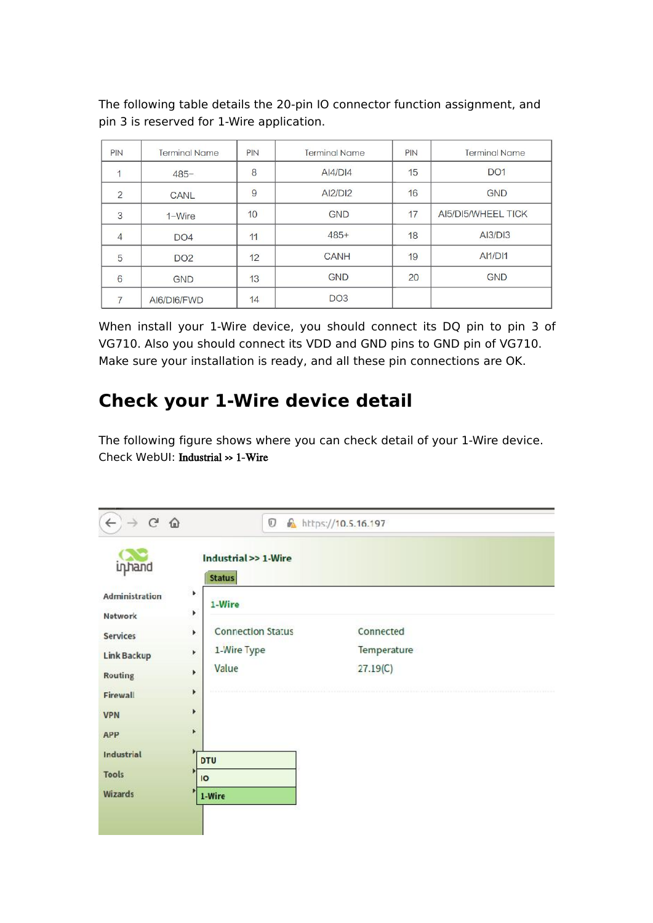| PIN            | <b>Terminal Name</b> | <b>PIN</b> | <b>Terminal Name</b> | PIN | <b>Terminal Name</b> |
|----------------|----------------------|------------|----------------------|-----|----------------------|
|                | $485 -$              | 8          | $A$ $4/D$ $14$       | 15  | <b>DO1</b>           |
| $\overline{2}$ | CANL                 | 9          | AI2/DI2              | 16  | <b>GND</b>           |
| 3              | $1-Wire$             | 10         | <b>GND</b>           | 17  | AI5/DI5/WHEEL TICK   |
| $\overline{4}$ | DO <sub>4</sub>      | 11         | $485+$               | 18  | AI3/DI3              |
| 5              | <b>DO2</b>           | 12         | <b>CANH</b>          | 19  | <b>AI1/DI1</b>       |
| 6              | <b>GND</b>           | 13         | <b>GND</b>           | 20  | <b>GND</b>           |
|                | AI6/DI6/FWD          | 14         | DO <sub>3</sub>      |     |                      |

The following table details the 20-pin IO connector function assignment, and pin 3 is reserved for 1-Wire application.

When install your 1-Wire device, you should connect its DQ pin to pin 3 of VG710. Also you should connect its VDD and GND pins to GND pin of VG710. Make sure your installation is ready, and all these pin connections are OK.

# **Check your 1-Wire device detail**

The following figure shows where you can check detail of your 1-Wire device. Check WebUI: Industrial >> 1-Wire

| $\leftarrow$<br>G<br>$\hat{w}$<br>$\rightarrow$                                                                          | $\mathbb O$                                                                                                                             | https://10.5.16.197                  |  |
|--------------------------------------------------------------------------------------------------------------------------|-----------------------------------------------------------------------------------------------------------------------------------------|--------------------------------------|--|
| inhand<br>Administration<br>Network<br><b>Services</b><br><b>Link Backup</b><br><b>Routing</b><br>Firewall<br><b>VPN</b> | Industrial >> 1-Wire<br><b>Status</b><br>۰<br>1-Wire<br>r<br><b>Connection Status</b><br>Þ.<br>1-Wire Type<br>r<br>Value<br>×<br>Þ<br>r | Connected<br>Temperature<br>27.19(C) |  |
| <b>APP</b>                                                                                                               | F                                                                                                                                       |                                      |  |
| Industrial                                                                                                               | <b>DTU</b>                                                                                                                              |                                      |  |
| <b>Tools</b>                                                                                                             | $\overline{O}$                                                                                                                          |                                      |  |
| Wizards                                                                                                                  | 1-Wire                                                                                                                                  |                                      |  |
|                                                                                                                          |                                                                                                                                         |                                      |  |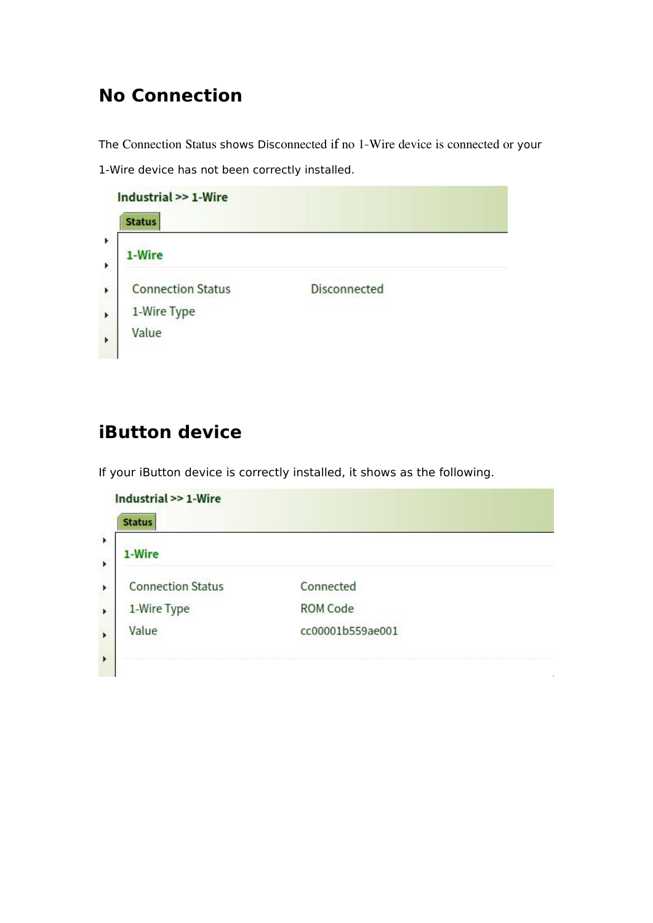## **No Connection**

The Connection Status shows Disconnected if no 1-Wire device is connected or your 1-Wire device has not been correctly installed.

Industrial >> 1-Wire **Status** j.

1-Wire k **Connection Status Disconnected** k 1-Wire Type Þ Value À

## **iButton device**

If your iButton device is correctly installed, it shows as the following.